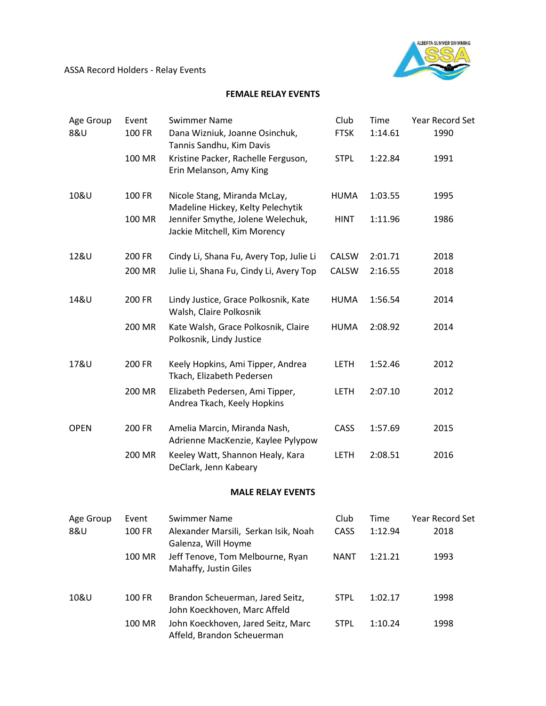ASSA Record Holders - Relay Events



## **FEMALE RELAY EVENTS**

| Age Group   | Event         | <b>Swimmer Name</b>                                                | Club         | Time        | Year Record Set        |
|-------------|---------------|--------------------------------------------------------------------|--------------|-------------|------------------------|
| 8&U         | <b>100 FR</b> | Dana Wizniuk, Joanne Osinchuk,<br>Tannis Sandhu, Kim Davis         | <b>FTSK</b>  | 1:14.61     | 1990                   |
|             | 100 MR        | Kristine Packer, Rachelle Ferguson,<br>Erin Melanson, Amy King     | <b>STPL</b>  | 1:22.84     | 1991                   |
| 10&U        | 100 FR        | Nicole Stang, Miranda McLay,<br>Madeline Hickey, Kelty Pelechytik  | <b>HUMA</b>  | 1:03.55     | 1995                   |
|             | 100 MR        | Jennifer Smythe, Jolene Welechuk,<br>Jackie Mitchell, Kim Morency  | <b>HINT</b>  | 1:11.96     | 1986                   |
| 12&U        | 200 FR        | Cindy Li, Shana Fu, Avery Top, Julie Li                            | <b>CALSW</b> | 2:01.71     | 2018                   |
|             | 200 MR        | Julie Li, Shana Fu, Cindy Li, Avery Top                            | CALSW        | 2:16.55     | 2018                   |
| 14&U        | 200 FR        | Lindy Justice, Grace Polkosnik, Kate<br>Walsh, Claire Polkosnik    | HUMA         | 1:56.54     | 2014                   |
|             | 200 MR        | Kate Walsh, Grace Polkosnik, Claire<br>Polkosnik, Lindy Justice    | HUMA         | 2:08.92     | 2014                   |
| 17&U        | 200 FR        | Keely Hopkins, Ami Tipper, Andrea<br>Tkach, Elizabeth Pedersen     | <b>LETH</b>  | 1:52.46     | 2012                   |
|             | 200 MR        | Elizabeth Pedersen, Ami Tipper,<br>Andrea Tkach, Keely Hopkins     | <b>LETH</b>  | 2:07.10     | 2012                   |
| <b>OPEN</b> | 200 FR        | Amelia Marcin, Miranda Nash,<br>Adrienne MacKenzie, Kaylee Pylypow | CASS         | 1:57.69     | 2015                   |
|             | 200 MR        | Keeley Watt, Shannon Healy, Kara<br>DeClark, Jenn Kabeary          | <b>LETH</b>  | 2:08.51     | 2016                   |
|             |               | <b>MALE RELAY EVENTS</b>                                           |              |             |                        |
| Age Group   | Event         | <b>Swimmer Name</b>                                                | Club         | <b>Time</b> | <b>Year Record Set</b> |
| 8&U         | 100 FR        | Alexander Marsili, Serkan Isik, Noah<br>Galenza, Will Hoyme        | CASS         | 1:12.94     | 2018                   |
|             | 100 MR        | Jeff Tenove, Tom Melbourne, Ryan<br>Mahaffy, Justin Giles          | <b>NANT</b>  | 1:21.21     | 1993                   |
| 10&U        | 100 FR        | Brandon Scheuerman, Jared Seitz,<br>John Koeckhoven, Marc Affeld   | <b>STPL</b>  | 1:02.17     | 1998                   |
|             | 100 MR        | John Koeckhoven, Jared Seitz, Marc<br>Affeld, Brandon Scheuerman   | <b>STPL</b>  | 1:10.24     | 1998                   |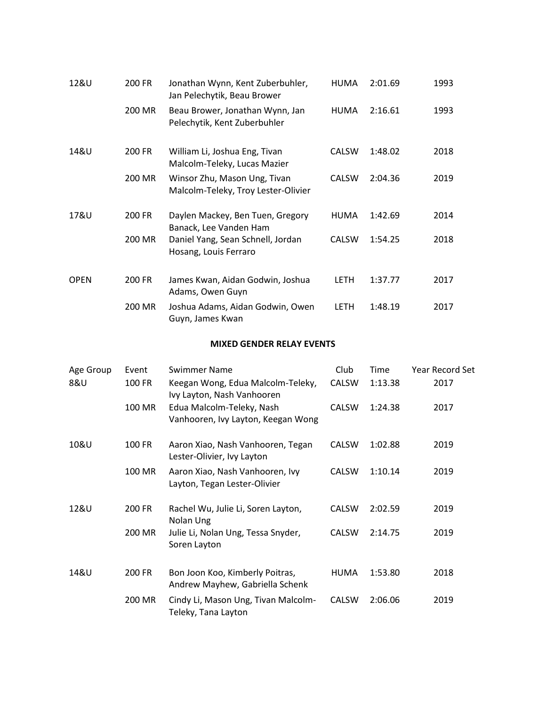| 12&U        | 200 FR | Jonathan Wynn, Kent Zuberbuhler,<br>Jan Pelechytik, Beau Brower     | <b>HUMA</b>  | 2:01.69 | 1993 |
|-------------|--------|---------------------------------------------------------------------|--------------|---------|------|
|             | 200 MR | Beau Brower, Jonathan Wynn, Jan<br>Pelechytik, Kent Zuberbuhler     | <b>HUMA</b>  | 2:16.61 | 1993 |
| 14&U        | 200 FR | William Li, Joshua Eng, Tivan<br>Malcolm-Teleky, Lucas Mazier       | <b>CALSW</b> | 1:48.02 | 2018 |
|             | 200 MR | Winsor Zhu, Mason Ung, Tivan<br>Malcolm-Teleky, Troy Lester-Olivier | <b>CALSW</b> | 2:04.36 | 2019 |
| 17&U        | 200 FR | Daylen Mackey, Ben Tuen, Gregory<br>Banack, Lee Vanden Ham          | <b>HUMA</b>  | 1:42.69 | 2014 |
|             | 200 MR | Daniel Yang, Sean Schnell, Jordan<br>Hosang, Louis Ferraro          | <b>CALSW</b> | 1:54.25 | 2018 |
| <b>OPEN</b> | 200 FR | James Kwan, Aidan Godwin, Joshua<br>Adams, Owen Guyn                | LETH         | 1:37.77 | 2017 |
|             | 200 MR | Joshua Adams, Aidan Godwin, Owen<br>Guyn, James Kwan                | LETH         | 1:48.19 | 2017 |

## **MIXED GENDER RELAY EVENTS**

| Age Group | Event  | <b>Swimmer Name</b>                                                | Club         | Time    | <b>Year Record Set</b> |
|-----------|--------|--------------------------------------------------------------------|--------------|---------|------------------------|
| 8&U       | 100 FR | Keegan Wong, Edua Malcolm-Teleky,<br>Ivy Layton, Nash Vanhooren    | <b>CALSW</b> | 1:13.38 | 2017                   |
|           | 100 MR | Edua Malcolm-Teleky, Nash<br>Vanhooren, Ivy Layton, Keegan Wong    | <b>CALSW</b> | 1:24.38 | 2017                   |
| 10&U      | 100 FR | Aaron Xiao, Nash Vanhooren, Tegan<br>Lester-Olivier, Ivy Layton    | <b>CALSW</b> | 1:02.88 | 2019                   |
|           | 100 MR | Aaron Xiao, Nash Vanhooren, Ivy<br>Layton, Tegan Lester-Olivier    | <b>CALSW</b> | 1:10.14 | 2019                   |
| 12&U      | 200 FR | Rachel Wu, Julie Li, Soren Layton,<br>Nolan Ung                    | <b>CALSW</b> | 2:02.59 | 2019                   |
|           | 200 MR | Julie Li, Nolan Ung, Tessa Snyder,<br>Soren Layton                 | <b>CALSW</b> | 2:14.75 | 2019                   |
| 14&U      | 200 FR | Bon Joon Koo, Kimberly Poitras,<br>Andrew Mayhew, Gabriella Schenk | <b>HUMA</b>  | 1:53.80 | 2018                   |
|           | 200 MR | Cindy Li, Mason Ung, Tivan Malcolm-<br>Teleky, Tana Layton         | <b>CALSW</b> | 2:06.06 | 2019                   |